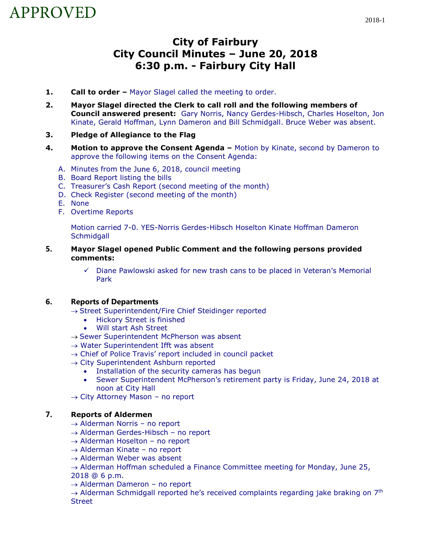# APPROVED

# **City of Fairbury City Council Minutes – June 20, 2018 6:30 p.m. - Fairbury City Hall**

- **1. Call to order** Mayor Slagel called the meeting to order.
- **2. Mayor Slagel directed the Clerk to call roll and the following members of Council answered present:** Gary Norris, Nancy Gerdes-Hibsch, Charles Hoselton, Jon Kinate, Gerald Hoffman, Lynn Dameron and Bill Schmidgall. Bruce Weber was absent.
- **3. Pledge of Allegiance to the Flag**
- **4. Motion to approve the Consent Agenda –** Motion by Kinate, second by Dameron to approve the following items on the Consent Agenda:
	- A. Minutes from the June 6, 2018, council meeting
	- B. Board Report listing the bills
	- C. Treasurer's Cash Report (second meeting of the month)
	- D. Check Register (second meeting of the month)
	- E. None
	- F. Overtime Reports

Motion carried 7-0. YES-Norris Gerdes-Hibsch Hoselton Kinate Hoffman Dameron **Schmidgall** 

- **5. Mayor Slagel opened Public Comment and the following persons provided comments:**
	- ✓ Diane Pawlowski asked for new trash cans to be placed in Veteran's Memorial Park

### **6. Reports of Departments**

- $\rightarrow$  Street Superintendent/Fire Chief Steidinger reported
	- Hickory Street is finished
	- Will start Ash Street
- → Sewer Superintendent McPherson was absent
- $\rightarrow$  Water Superintendent Ifft was absent
- $\rightarrow$  Chief of Police Travis' report included in council packet
- $\rightarrow$  City Superintendent Ashburn reported
	- Installation of the security cameras has begun
	- Sewer Superintendent McPherson's retirement party is Friday, June 24, 2018 at noon at City Hall
- $\rightarrow$  City Attorney Mason no report

### **7. Reports of Aldermen**

- $\rightarrow$  Alderman Norris no report
- $\rightarrow$  Alderman Gerdes-Hibsch no report
- $\rightarrow$  Alderman Hoselton no report
- $\rightarrow$  Alderman Kinate no report
- $\rightarrow$  Alderman Weber was absent
- $\rightarrow$  Alderman Hoffman scheduled a Finance Committee meeting for Monday, June 25,

2018 @ 6 p.m.

→ Alderman Dameron – no report

 $\rightarrow$  Alderman Schmidgall reported he's received complaints regarding jake braking on 7<sup>th</sup> **Street**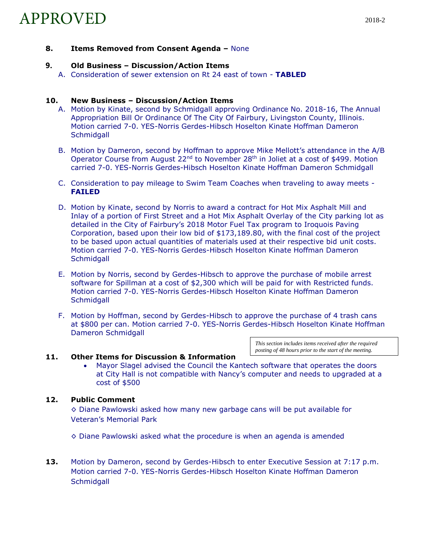**8. Items Removed from Consent Agenda –** None

## **9. Old Business – Discussion/Action Items**

A. Consideration of sewer extension on Rt 24 east of town - **TABLED**

#### **10. New Business – Discussion/Action Items**

- A. Motion by Kinate, second by Schmidgall approving Ordinance No. 2018-16, The Annual Appropriation Bill Or Ordinance Of The City Of Fairbury, Livingston County, Illinois. Motion carried 7-0. YES-Norris Gerdes-Hibsch Hoselton Kinate Hoffman Dameron **Schmidgall**
- B. Motion by Dameron, second by Hoffman to approve Mike Mellott's attendance in the A/B Operator Course from August 22<sup>nd</sup> to November 28<sup>th</sup> in Joliet at a cost of \$499. Motion carried 7-0. YES-Norris Gerdes-Hibsch Hoselton Kinate Hoffman Dameron Schmidgall
- C. Consideration to pay mileage to Swim Team Coaches when traveling to away meets **FAILED**
- D. Motion by Kinate, second by Norris to award a contract for Hot Mix Asphalt Mill and Inlay of a portion of First Street and a Hot Mix Asphalt Overlay of the City parking lot as detailed in the City of Fairbury's 2018 Motor Fuel Tax program to Iroquois Paving Corporation, based upon their low bid of \$173,189.80, with the final cost of the project to be based upon actual quantities of materials used at their respective bid unit costs. Motion carried 7-0. YES-Norris Gerdes-Hibsch Hoselton Kinate Hoffman Dameron **Schmidgall**
- E. Motion by Norris, second by Gerdes-Hibsch to approve the purchase of mobile arrest software for Spillman at a cost of \$2,300 which will be paid for with Restricted funds. Motion carried 7-0. YES-Norris Gerdes-Hibsch Hoselton Kinate Hoffman Dameron **Schmidgall**
- F. Motion by Hoffman, second by Gerdes-Hibsch to approve the purchase of 4 trash cans at \$800 per can. Motion carried 7-0. YES-Norris Gerdes-Hibsch Hoselton Kinate Hoffman Dameron Schmidgall

*This section includes items received after the required posting of 48 hours prior to the start of the meeting.*

#### **11. Other Items for Discussion & Information**

• Mayor Slagel advised the Council the Kantech software that operates the doors at City Hall is not compatible with Nancy's computer and needs to upgraded at a cost of \$500

#### **12. Public Comment**

 $\diamond$  Diane Pawlowski asked how many new garbage cans will be put available for Veteran's Memorial Park

 $\diamond$  Diane Pawlowski asked what the procedure is when an agenda is amended

**13.** Motion by Dameron, second by Gerdes-Hibsch to enter Executive Session at 7:17 p.m. Motion carried 7-0. YES-Norris Gerdes-Hibsch Hoselton Kinate Hoffman Dameron **Schmidgall**